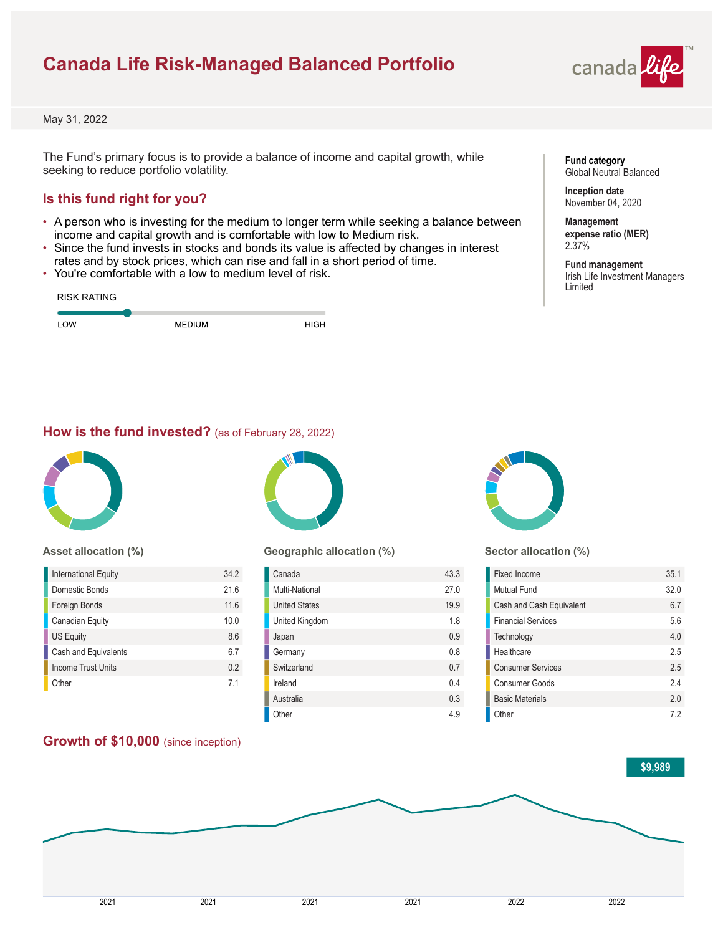# **Canada Life Risk-Managed Balanced Portfolio**



May 31, 2022

The Fund's primary focus is to provide a balance of income and capital growth, while seeking to reduce portfolio volatility.

## **Is this fund right for you?**

- A person who is investing for the medium to longer term while seeking a balance between income and capital growth and is comfortable with low to Medium risk.
- Since the fund invests in stocks and bonds its value is affected by changes in interest rates and by stock prices, which can rise and fall in a short period of time.
- You're comfortable with a low to medium level of risk.

| <b>RISK RATING</b> |               |      |
|--------------------|---------------|------|
| LOW                | <b>MEDIUM</b> | HIGH |

## **Fund category** Global Neutral Balanced

**Inception date** November 04, 2020

**Management expense ratio (MER)** 2.37%

**Fund management** Irish Life Investment Managers Limited

## **How is the fund invested?** (as of February 28, 2022)



### **Asset allocation (%)**

| International Equity      | 34.2           |
|---------------------------|----------------|
| Domestic Bonds            | 216            |
| Foreign Bonds             | 11.6           |
| Canadian Equity           | 10.0           |
| <b>US Equity</b>          | 8.6            |
| Cash and Equivalents      | 67             |
| <b>Income Trust Units</b> | 0 <sub>2</sub> |
| Other                     | 71             |

## **Growth of \$10,000** (since inception)



### **Geographic allocation (%)**

| Canada               | 43.3 |
|----------------------|------|
| Multi-National       | 27.0 |
| <b>United States</b> | 19.9 |
| United Kingdom       | 1.8  |
| Japan                | 0.9  |
| Germany              | 0.8  |
| Switzerland          | 0.7  |
| Ireland              | 04   |
| Australia            | 0.3  |
| Other                | 4.9  |



### **Sector allocation (%)**

| Fixed Income              | 35.1 |
|---------------------------|------|
| Mutual Fund               | 32.0 |
| Cash and Cash Equivalent  | 67   |
| <b>Financial Services</b> | 5.6  |
| Technology                | 40   |
| Healthcare                | 25   |
| <b>Consumer Services</b>  | 2.5  |
| Consumer Goods            | 24   |
| <b>Basic Materials</b>    | 20   |
| Other                     | 72   |